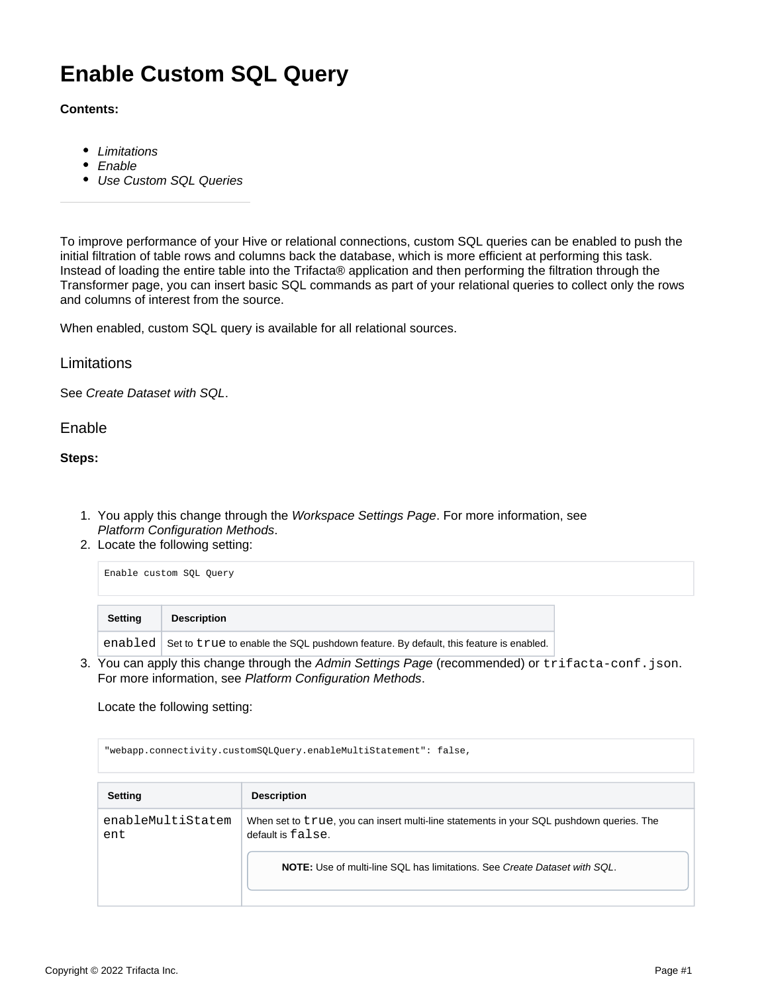## **Enable Custom SQL Query**

## **Contents:**

- [Limitations](#page-0-0)
- [Enable](#page-0-1)
- [Use Custom SQL Queries](#page-1-0)

To improve performance of your Hive or relational connections, custom SQL queries can be enabled to push the initial filtration of table rows and columns back the database, which is more efficient at performing this task. Instead of loading the entire table into the Trifacta® application and then performing the filtration through the Transformer page, you can insert basic SQL commands as part of your relational queries to collect only the rows and columns of interest from the source.

When enabled, custom SQL query is available for all relational sources.

<span id="page-0-0"></span>**Limitations** 

See [Create Dataset with SQL](https://docs.trifacta.com/display/r068/Create+Dataset+with+SQL).

<span id="page-0-1"></span>Enable

**Steps:**

- 1. You apply this change through the Workspace Settings Page. For more information, see [Platform Configuration Methods](https://docs.trifacta.com/display/r068/Platform+Configuration+Methods).
- 2. Locate the following setting:

| Enable custom SOL Ouery |                                                                                              |
|-------------------------|----------------------------------------------------------------------------------------------|
| <b>Setting</b>          | <b>Description</b>                                                                           |
|                         | enabled Set to true to enable the SQL pushdown feature. By default, this feature is enabled. |

3. You can apply this change through the [Admin Settings Page](https://docs.trifacta.com/display/r068/Admin+Settings+Page) (recommended) or trifacta-conf.json. For more information, see [Platform Configuration Methods](https://docs.trifacta.com/display/r068/Platform+Configuration+Methods).

Locate the following setting:

"webapp.connectivity.customSQLQuery.enableMultiStatement": false, **Setting Description** enableMultiStatem ent When set to true, you can insert multi-line statements in your SQL pushdown queries. The default is false. **NOTE:** Use of multi-line SQL has limitations. See [Create Dataset with SQL](https://docs.trifacta.com/display/r068/Create+Dataset+with+SQL).